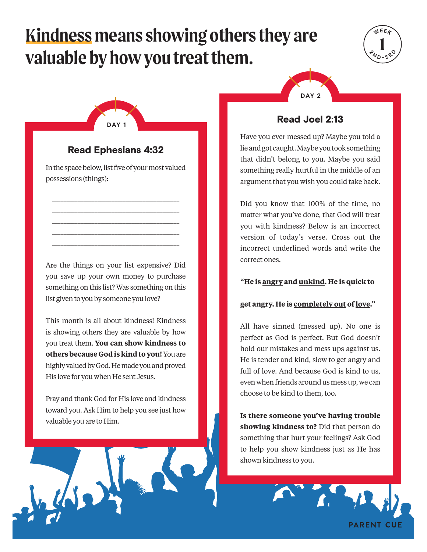# **Kindness means showing others they are valuable by how you treat them.**





## Read Ephesians 4:32

In the space below, list five of your most valued possessions (things):

\_\_\_\_\_\_\_\_\_\_\_\_\_\_\_\_\_\_\_\_\_\_\_\_\_\_\_\_\_\_\_\_\_\_\_\_\_\_\_\_\_\_\_\_\_ \_\_\_\_\_\_\_\_\_\_\_\_\_\_\_\_\_\_\_\_\_\_\_\_\_\_\_\_\_\_\_\_\_\_\_\_\_\_\_\_\_\_\_\_\_ \_\_\_\_\_\_\_\_\_\_\_\_\_\_\_\_\_\_\_\_\_\_\_\_\_\_\_\_\_\_\_\_\_\_\_\_\_\_\_\_\_\_\_\_\_ \_\_\_\_\_\_\_\_\_\_\_\_\_\_\_\_\_\_\_\_\_\_\_\_\_\_\_\_\_\_\_\_\_\_\_\_\_\_\_\_\_\_\_\_\_ \_\_\_\_\_\_\_\_\_\_\_\_\_\_\_\_\_\_\_\_\_\_\_\_\_\_\_\_\_\_\_\_\_\_\_\_\_\_\_\_\_\_\_\_\_

Are the things on your list expensive? Did you save up your own money to purchase something on this list? Was something on this list given to you by someone you love?

This month is all about kindness! Kindness is showing others they are valuable by how you treat them. **You can show kindness to others because God is kind to you!** You are highly valued by God. He made you and proved His love for you when He sent Jesus.

Pray and thank God for His love and kindness toward you. Ask Him to help you see just how valuable you are to Him.



## Read Joel 2:13

Have you ever messed up? Maybe you told a lie and got caught. Maybe you took something that didn't belong to you. Maybe you said something really hurtful in the middle of an argument that you wish you could take back.

Did you know that 100% of the time, no matter what you've done, that God will treat you with kindness? Below is an incorrect version of today's verse. Cross out the incorrect underlined words and write the correct ones.

#### **"He is angry and unkind. He is quick to**

#### **get angry. He is completely out of love."**

All have sinned (messed up). No one is perfect as God is perfect. But God doesn't hold our mistakes and mess ups against us. He is tender and kind, slow to get angry and full of love. And because God is kind to us, even when friends around us mess up, we can choose to be kind to them, too.

**Is there someone you've having trouble showing kindness to?** Did that person do something that hurt your feelings? Ask God to help you show kindness just as He has shown kindness to you.